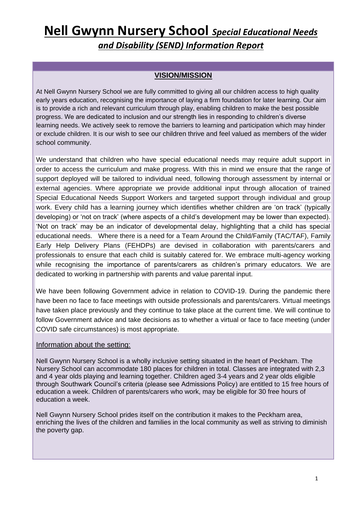#### **VISION/MISSION**

At Nell Gwynn Nursery School we are fully committed to giving all our children access to high quality early years education, recognising the importance of laying a firm foundation for later learning. Our aim is to provide a rich and relevant curriculum through play, enabling children to make the best possible progress. We are dedicated to inclusion and our strength lies in responding to children's diverse learning needs. We actively seek to remove the barriers to learning and participation which may hinder or exclude children. It is our wish to see our children thrive and feel valued as members of the wider school community.

We understand that children who have special educational needs may require adult support in order to access the curriculum and make progress. With this in mind we ensure that the range of support deployed will be tailored to individual need, following thorough assessment by internal or external agencies. Where appropriate we provide additional input through allocation of trained Special Educational Needs Support Workers and targeted support through individual and group work. Every child has a learning journey which identifies whether children are 'on track' (typically developing) or 'not on track' (where aspects of a child's development may be lower than expected). 'Not on track' may be an indicator of developmental delay, highlighting that a child has special educational needs. Where there is a need for a Team Around the Child/Family (TAC/TAF), Family Early Help Delivery Plans (FEHDPs) are devised in collaboration with parents/carers and professionals to ensure that each child is suitably catered for. We embrace multi-agency working while recognising the importance of parents/carers as children's primary educators. We are dedicated to working in partnership with parents and value parental input.

We have been following Government advice in relation to COVID-19. During the pandemic there have been no face to face meetings with outside professionals and parents/carers. Virtual meetings have taken place previously and they continue to take place at the current time. We will continue to follow Government advice and take decisions as to whether a virtual or face to face meeting (under COVID safe circumstances) is most appropriate.

#### Information about the setting:

Nell Gwynn Nursery School is a wholly inclusive setting situated in the heart of Peckham. The Nursery School can accommodate 180 places for children in total. Classes are integrated with 2,3 and 4 year olds playing and learning together. Children aged 3-4 years and 2 year olds eligible through Southwark Council's criteria (please see Admissions Policy) are entitled to 15 free hours of education a week. Children of parents/carers who work, may be eligible for 30 free hours of education a week.

Nell Gwynn Nursery School prides itself on the contribution it makes to the Peckham area, enriching the lives of the children and families in the local community as well as striving to diminish the poverty gap.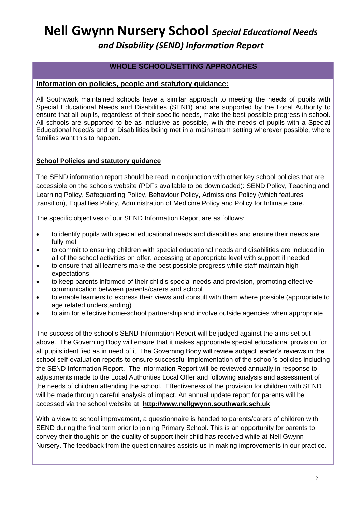*and Disability (SEND) Information Report*

#### **WHOLE SCHOOL/SETTING APPROACHES**

#### **Information on policies, people and statutory guidance:**

All Southwark maintained schools have a similar approach to meeting the needs of pupils with Special Educational Needs and Disabilities (SEND) and are supported by the Local Authority to ensure that all pupils, regardless of their specific needs, make the best possible progress in school. All schools are supported to be as inclusive as possible, with the needs of pupils with a Special Educational Need/s and or Disabilities being met in a mainstream setting wherever possible, where families want this to happen.

#### **School Policies and statutory guidance**

The SEND information report should be read in conjunction with other key school policies that are accessible on the schools website (PDFs available to be downloaded): SEND Policy, Teaching and Learning Policy, Safeguarding Policy, Behaviour Policy, Admissions Policy (which features transition), Equalities Policy, Administration of Medicine Policy and Policy for Intimate care.

The specific objectives of our SEND Information Report are as follows:

- to identify pupils with special educational needs and disabilities and ensure their needs are fully met
- to commit to ensuring children with special educational needs and disabilities are included in all of the school activities on offer, accessing at appropriate level with support if needed
- to ensure that all learners make the best possible progress while staff maintain high expectations
- to keep parents informed of their child's special needs and provision, promoting effective communication between parents/carers and school
- to enable learners to express their views and consult with them where possible (appropriate to age related understanding)
- to aim for effective home-school partnership and involve outside agencies when appropriate

The success of the school's SEND Information Report will be judged against the aims set out above. The Governing Body will ensure that it makes appropriate special educational provision for all pupils identified as in need of it. The Governing Body will review subject leader's reviews in the school self-evaluation reports to ensure successful implementation of the school's policies including the SEND Information Report. The Information Report will be reviewed annually in response to adjustments made to the Local Authorities Local Offer and following analysis and assessment of the needs of children attending the school. Effectiveness of the provision for children with SEND will be made through careful analysis of impact. An annual update report for parents will be accessed via the school website at: **[http://www.nellgwynn.southwark.sch.uk](http://www.nellgwynn.southwark.sch.uk/)**

With a view to school improvement, a questionnaire is handed to parents/carers of children with SEND during the final term prior to joining Primary School. This is an opportunity for parents to convey their thoughts on the quality of support their child has received while at Nell Gwynn Nursery. The feedback from the questionnaires assists us in making improvements in our practice.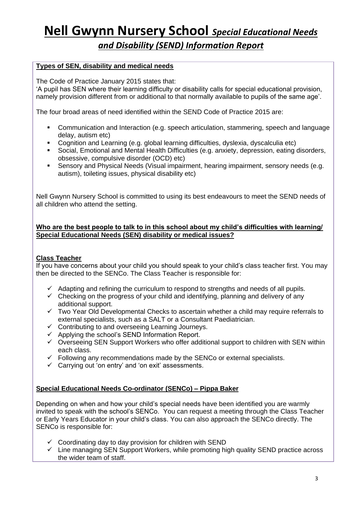*and Disability (SEND) Information Report*

#### **Types of SEN, disability and medical needs**

The Code of Practice January 2015 states that:

'A pupil has SEN where their learning difficulty or disability calls for special educational provision, namely provision different from or additional to that normally available to pupils of the same age'.

The four broad areas of need identified within the SEND Code of Practice 2015 are:

- Communication and Interaction (e.g. speech articulation, stammering, speech and language delay, autism etc)
- Cognition and Learning (e.g. global learning difficulties, dyslexia, dyscalculia etc)
- Social, Emotional and Mental Health Difficulties (e.g. anxiety, depression, eating disorders, obsessive, compulsive disorder (OCD) etc)
- Sensory and Physical Needs (Visual impairment, hearing impairment, sensory needs (e.g. autism), toileting issues, physical disability etc)

Nell Gwynn Nursery School is committed to using its best endeavours to meet the SEND needs of all children who attend the setting.

#### **Who are the best people to talk to in this school about my child's difficulties with learning/ Special Educational Needs (SEN) disability or medical issues?**

#### **Class Teacher**

If you have concerns about your child you should speak to your child's class teacher first. You may then be directed to the SENCo. The Class Teacher is responsible for:

- $\checkmark$  Adapting and refining the curriculum to respond to strengths and needs of all pupils.
- $\checkmark$  Checking on the progress of your child and identifying, planning and delivery of any additional support.
- ✓ Two Year Old Developmental Checks to ascertain whether a child may require referrals to external specialists, such as a SALT or a Consultant Paediatrician.
- $\checkmark$  Contributing to and overseeing Learning Journeys.
- $\checkmark$  Applying the school's SEND Information Report.
- ✓ Overseeing SEN Support Workers who offer additional support to children with SEN within each class.
- $\checkmark$  Following any recommendations made by the SENCo or external specialists.
- $\checkmark$  Carrying out 'on entry' and 'on exit' assessments.

#### **Special Educational Needs Co-ordinator (SENCo) – Pippa Baker**

Depending on when and how your child's special needs have been identified you are warmly invited to speak with the school's SENCo. You can request a meeting through the Class Teacher or Early Years Educator in your child's class. You can also approach the SENCo directly. The SENCo is responsible for:

- $\checkmark$  Coordinating day to day provision for children with SEND
- $\checkmark$  Line managing SEN Support Workers, while promoting high quality SEND practice across the wider team of staff.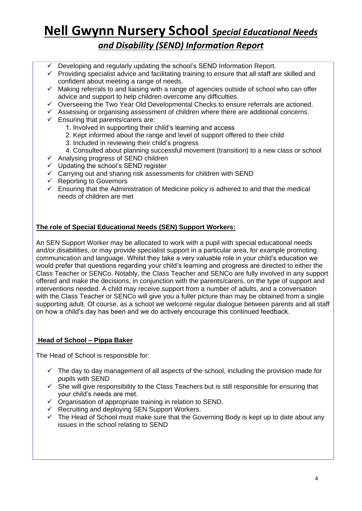#### *and Disability (SEND) Information Report*

- Developing and regularly updating the school's SEND Information Report.
- $\checkmark$  Providing specialist advice and facilitating training to ensure that all staff are skilled and confident about meeting a range of needs.
- ✓ Making referrals to and liaising with a range of agencies outside of school who can offer advice and support to help children overcome any difficulties.
- $\checkmark$  Overseeing the Two Year Old Developmental Checks to ensure referrals are actioned.
- $\checkmark$  Assessing or organising assessment of children where there are additional concerns.
- $\checkmark$  Ensuring that parents/carers are:
	- 1. Involved in supporting their child's learning and access
	- 2. Kept informed about the range and level of support offered to their child
	- 3. Included in reviewing their child's progress
	- 4. Consulted about planning successful movement (transition) to a new class or school
- $\checkmark$  Analysing progress of SEND children
- $\checkmark$  Updating the school's SEND register
- ✓ Carrying out and sharing risk assessments for children with SEND
- $\checkmark$  Reporting to Governors
- $\checkmark$  Ensuring that the Administration of Medicine policy is adhered to and that the medical needs of children are met

#### **The role of Special Educational Needs (SEN) Support Workers:**

An SEN Support Worker may be allocated to work with a pupil with special educational needs and/or disabilities, or may provide specialist support in a particular area, for example promoting communication and language. Whilst they take a very valuable role in your child's education we would prefer that questions regarding your child's learning and progress are directed to either the Class Teacher or SENCo. Notably, the Class Teacher and SENCo are fully involved in any support offered and make the decisions, in conjunction with the parents/carers, on the type of support and interventions needed. A child may receive support from a number of adults, and a conversation with the Class Teacher or SENCo will give you a fuller picture than may be obtained from a single supporting adult. Of course, as a school we welcome regular dialogue between parents and all staff on how a child's day has been and we do actively encourage this continued feedback.

#### **Head of School – Pippa Baker**

The Head of School is responsible for:

- $\checkmark$  The day to day management of all aspects of the school, including the provision made for pupils with SEND
- $\checkmark$  She will give responsibility to the Class Teachers but is still responsible for ensuring that your child's needs are met.
- ✓ Organisation of appropriate training in relation to SEND.
- $\checkmark$  Recruiting and deploying SEN Support Workers.
- $\checkmark$  The Head of School must make sure that the Governing Body is kept up to date about any issues in the school relating to SEND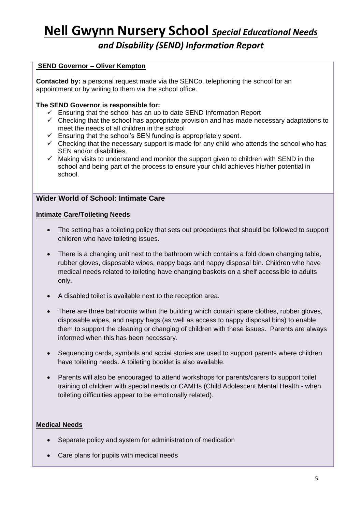*and Disability (SEND) Information Report*

#### **SEND Governor – Oliver Kempton**

**Contacted by:** a personal request made via the SENCo, telephoning the school for an appointment or by writing to them via the school office.

#### **The SEND Governor is responsible for:**

- $\checkmark$  Ensuring that the school has an up to date SEND Information Report
- $\checkmark$  Checking that the school has appropriate provision and has made necessary adaptations to meet the needs of all children in the school
- ✓ Ensuring that the school's SEN funding is appropriately spent.
- $\checkmark$  Checking that the necessary support is made for any child who attends the school who has SEN and/or disabilities.
- $\checkmark$  Making visits to understand and monitor the support given to children with SEND in the school and being part of the process to ensure your child achieves his/her potential in school.

#### **Wider World of School: Intimate Care**

#### **Intimate Care/Toileting Needs**

- The setting has a toileting policy that sets out procedures that should be followed to support children who have toileting issues.
- There is a changing unit next to the bathroom which contains a fold down changing table, rubber gloves, disposable wipes, nappy bags and nappy disposal bin. Children who have medical needs related to toileting have changing baskets on a shelf accessible to adults only.
- A disabled toilet is available next to the reception area.
- There are three bathrooms within the building which contain spare clothes, rubber gloves, disposable wipes, and nappy bags (as well as access to nappy disposal bins) to enable them to support the cleaning or changing of children with these issues. Parents are always informed when this has been necessary.
- Sequencing cards, symbols and social stories are used to support parents where children have toileting needs. A toileting booklet is also available.
- Parents will also be encouraged to attend workshops for parents/carers to support toilet training of children with special needs or CAMHs (Child Adolescent Mental Health - when toileting difficulties appear to be emotionally related).

#### **Medical Needs**

- Separate policy and system for administration of medication
- Care plans for pupils with medical needs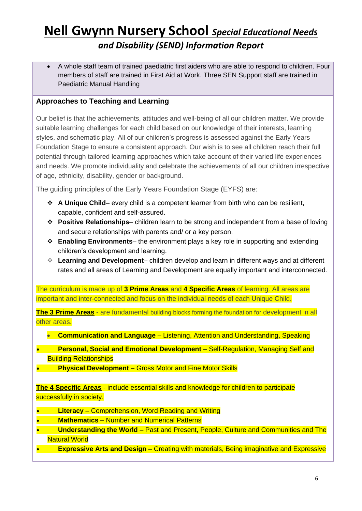• A whole staff team of trained paediatric first aiders who are able to respond to children. Four members of staff are trained in First Aid at Work. Three SEN Support staff are trained in Paediatric Manual Handling

#### **Approaches to Teaching and Learning**

Our belief is that the achievements, attitudes and well-being of all our children matter. We provide suitable learning challenges for each child based on our knowledge of their interests, learning styles, and schematic play. All of our children's progress is assessed against the Early Years Foundation Stage to ensure a consistent approach. Our wish is to see all children reach their full potential through tailored learning approaches which take account of their varied life experiences and needs. We promote individuality and celebrate the achievements of all our children irrespective of age, ethnicity, disability, gender or background.

The guiding principles of the Early Years Foundation Stage (EYFS) are:

- ❖ **A Unique Child** every child is a competent learner from birth who can be resilient, capable, confident and self-assured.
- ❖ **Positive Relationships** children learn to be strong and independent from a base of loving and secure relationships with parents and/ or a key person.
- ❖ **Enabling Environments** the environment plays a key role in supporting and extending children's development and learning.
- ❖ **Learning and Development** children develop and learn in different ways and at different rates and all areas of Learning and Development are equally important and interconnected.

The curriculum is made up of **3 Prime Areas** and **4 Specific Areas** of learning. All areas are important and inter-connected and focus on the individual needs of each Unique Child.

**The 3 Prime Areas** - are fundamental building blocks forming the foundation for development in all other areas.

- **Communication and Language** Listening, Attention and Understanding, Speaking
- **Personal, Social and Emotional Development** Self-Regulation, Managing Self and Building Relationships
- **Physical Development** Gross Motor and Fine Motor Skills

**The 4 Specific Areas** - include essential skills and knowledge for children to participate successfully in society.

- **Literacy** Comprehension, Word Reading and Writing
- **Mathematics** Number and Numerical Patterns
- **Understanding the World** Past and Present, People, Culture and Communities and The Natural World
- **Expressive Arts and Design** Creating with materials, Being imaginative and Expressive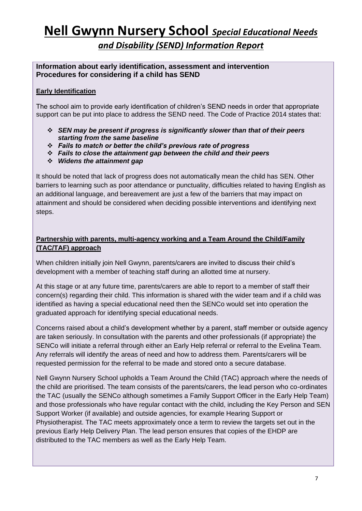#### *and Disability (SEND) Information Report*

#### **Information about early identification, assessment and intervention Procedures for considering if a child has SEND**

#### **Early Identification**

The school aim to provide early identification of children's SEND needs in order that appropriate support can be put into place to address the SEND need. The Code of Practice 2014 states that:

- ❖ *SEN may be present if progress is significantly slower than that of their peers starting from the same baseline*
- ❖ *Fails to match or better the child's previous rate of progress*
- ❖ *Fails to close the attainment gap between the child and their peers*
- ❖ *Widens the attainment gap*

It should be noted that lack of progress does not automatically mean the child has SEN. Other barriers to learning such as poor attendance or punctuality, difficulties related to having English as an additional language, and bereavement are just a few of the barriers that may impact on attainment and should be considered when deciding possible interventions and identifying next steps.

#### **Partnership with parents, multi-agency working and a Team Around the Child/Family (TAC/TAF) approach**

When children initially join Nell Gwynn, parents/carers are invited to discuss their child's development with a member of teaching staff during an allotted time at nursery.

At this stage or at any future time, parents/carers are able to report to a member of staff their concern(s) regarding their child. This information is shared with the wider team and if a child was identified as having a special educational need then the SENCo would set into operation the graduated approach for identifying special educational needs.

Concerns raised about a child's development whether by a parent, staff member or outside agency are taken seriously. In consultation with the parents and other professionals (if appropriate) the SENCo will initiate a referral through either an Early Help referral or referral to the Evelina Team. Any referrals will identify the areas of need and how to address them. Parents/carers will be requested permission for the referral to be made and stored onto a secure database.

Nell Gwynn Nursery School upholds a Team Around the Child (TAC) approach where the needs of the child are prioritised. The team consists of the parents/carers, the lead person who co-ordinates the TAC (usually the SENCo although sometimes a Family Support Officer in the Early Help Team) and those professionals who have regular contact with the child, including the Key Person and SEN Support Worker (if available) and outside agencies, for example Hearing Support or Physiotherapist. The TAC meets approximately once a term to review the targets set out in the previous Early Help Delivery Plan. The lead person ensures that copies of the EHDP are distributed to the TAC members as well as the Early Help Team.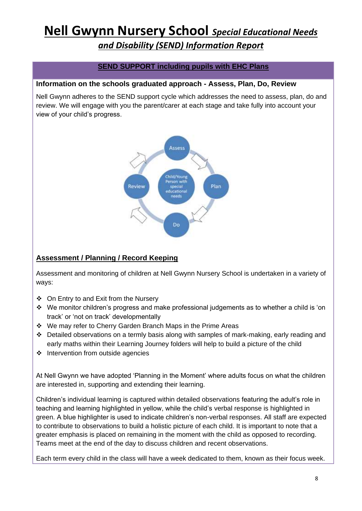*and Disability (SEND) Information Report*

#### **SEND SUPPORT including pupils with EHC Plans**

#### **Information on the schools graduated approach - Assess, Plan, Do, Review**

Nell Gwynn adheres to the SEND support cycle which addresses the need to assess, plan, do and review. We will engage with you the parent/carer at each stage and take fully into account your view of your child's progress.



#### **Assessment / Planning / Record Keeping**

Assessment and monitoring of children at Nell Gwynn Nursery School is undertaken in a variety of ways:

- ❖ On Entry to and Exit from the Nursery
- ❖ We monitor children's progress and make professional judgements as to whether a child is 'on track' or 'not on track' developmentally
- ❖ We may refer to Cherry Garden Branch Maps in the Prime Areas
- ❖ Detailed observations on a termly basis along with samples of mark-making, early reading and early maths within their Learning Journey folders will help to build a picture of the child
- ❖ Intervention from outside agencies

At Nell Gwynn we have adopted 'Planning in the Moment' where adults focus on what the children are interested in, supporting and extending their learning.

Children's individual learning is captured within detailed observations featuring the adult's role in teaching and learning highlighted in yellow, while the child's verbal response is highlighted in green. A blue highlighter is used to indicate children's non-verbal responses. All staff are expected to contribute to observations to build a holistic picture of each child. It is important to note that a greater emphasis is placed on remaining in the moment with the child as opposed to recording. Teams meet at the end of the day to discuss children and recent observations.

Each term every child in the class will have a week dedicated to them, known as their focus week.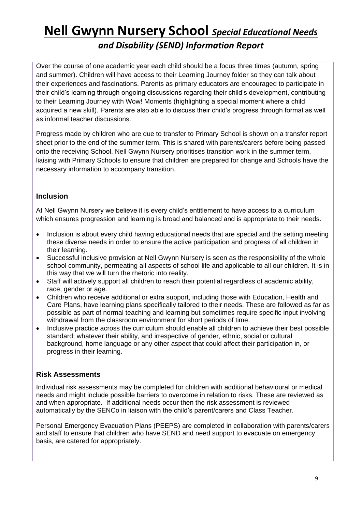Over the course of one academic year each child should be a focus three times (autumn, spring and summer). Children will have access to their Learning Journey folder so they can talk about their experiences and fascinations. Parents as primary educators are encouraged to participate in their child's learning through ongoing discussions regarding their child's development, contributing to their Learning Journey with Wow! Moments (highlighting a special moment where a child acquired a new skill). Parents are also able to discuss their child's progress through formal as well as informal teacher discussions.

Progress made by children who are due to transfer to Primary School is shown on a transfer report sheet prior to the end of the summer term. This is shared with parents/carers before being passed onto the receiving School. Nell Gwynn Nursery prioritises transition work in the summer term, liaising with Primary Schools to ensure that children are prepared for change and Schools have the necessary information to accompany transition.

#### **Inclusion**

At Nell Gwynn Nursery we believe it is every child's entitlement to have access to a curriculum which ensures progression and learning is broad and balanced and is appropriate to their needs.

- Inclusion is about every child having educational needs that are special and the setting meeting these diverse needs in order to ensure the active participation and progress of all children in their learning.
- Successful inclusive provision at Nell Gwynn Nursery is seen as the responsibility of the whole school community, permeating all aspects of school life and applicable to all our children. It is in this way that we will turn the rhetoric into reality.
- Staff will actively support all children to reach their potential regardless of academic ability, race, gender or age.
- Children who receive additional or extra support, including those with Education, Health and Care Plans, have learning plans specifically tailored to their needs. These are followed as far as possible as part of normal teaching and learning but sometimes require specific input involving withdrawal from the classroom environment for short periods of time.
- Inclusive practice across the curriculum should enable all children to achieve their best possible standard; whatever their ability, and irrespective of gender, ethnic, social or cultural background, home language or any other aspect that could affect their participation in, or progress in their learning.

#### **Risk Assessments**

Individual risk assessments may be completed for children with additional behavioural or medical needs and might include possible barriers to overcome in relation to risks. These are reviewed as and when appropriate. If additional needs occur then the risk assessment is reviewed automatically by the SENCo in liaison with the child's parent/carers and Class Teacher.

Personal Emergency Evacuation Plans (PEEPS) are completed in collaboration with parents/carers and staff to ensure that children who have SEND and need support to evacuate on emergency basis, are catered for appropriately.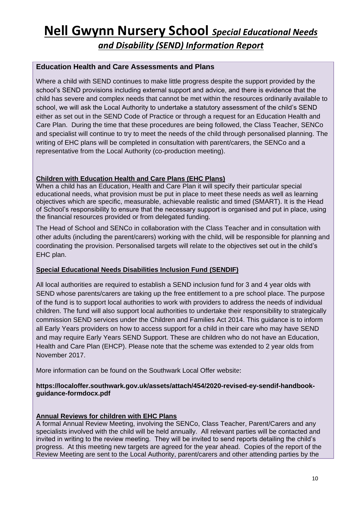*and Disability (SEND) Information Report*

#### **Education Health and Care Assessments and Plans**

Where a child with SEND continues to make little progress despite the support provided by the school's SEND provisions including external support and advice, and there is evidence that the child has severe and complex needs that cannot be met within the resources ordinarily available to school, we will ask the Local Authority to undertake a statutory assessment of the child's SEND either as set out in the SEND Code of Practice or through a request for an Education Health and Care Plan. During the time that these procedures are being followed, the Class Teacher, SENCo and specialist will continue to try to meet the needs of the child through personalised planning. The writing of EHC plans will be completed in consultation with parent/carers, the SENCo and a representative from the Local Authority (co-production meeting).

#### **Children with Education Health and Care Plans (EHC Plans)**

When a child has an Education, Health and Care Plan it will specify their particular special educational needs, what provision must be put in place to meet these needs as well as learning objectives which are specific, measurable, achievable realistic and timed (SMART). It is the Head of School's responsibility to ensure that the necessary support is organised and put in place, using the financial resources provided or from delegated funding.

The Head of School and SENCo in collaboration with the Class Teacher and in consultation with other adults (including the parent/carers) working with the child, will be responsible for planning and coordinating the provision. Personalised targets will relate to the objectives set out in the child's EHC plan.

#### **Special Educational Needs Disabilities Inclusion Fund (SENDIF)**

All local authorities are required to establish a SEND inclusion fund for 3 and 4 year olds with SEND whose parents/carers are taking up the free entitlement to a pre school place. The purpose of the fund is to support local authorities to work with providers to address the needs of individual children. The fund will also support local authorities to undertake their responsibility to strategically commission SEND services under the Children and Families Act 2014. This guidance is to inform all Early Years providers on how to access support for a child in their care who may have SEND and may require Early Years SEND Support. These are children who do not have an Education, Health and Care Plan (EHCP). Please note that the scheme was extended to 2 year olds from November 2017.

More information can be found on the Southwark Local Offer website:

#### **https://localoffer.southwark.gov.uk/assets/attach/454/2020-revised-ey-sendif-handbookguidance-formdocx.pdf**

#### **Annual Reviews for children with EHC Plans**

A formal Annual Review Meeting, involving the SENCo, Class Teacher, Parent/Carers and any specialists involved with the child will be held annually. All relevant parties will be contacted and invited in writing to the review meeting. They will be invited to send reports detailing the child's progress. At this meeting new targets are agreed for the year ahead. Copies of the report of the Review Meeting are sent to the Local Authority, parent/carers and other attending parties by the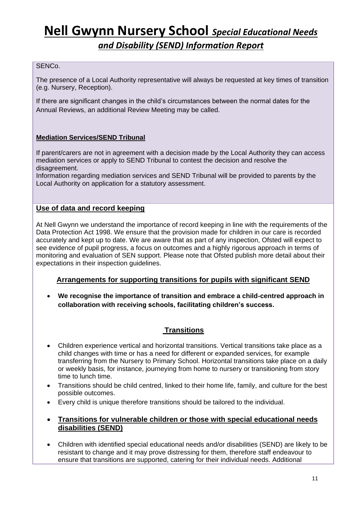*and Disability (SEND) Information Report*

#### SENCo.

The presence of a Local Authority representative will always be requested at key times of transition (e.g. Nursery, Reception).

If there are significant changes in the child's circumstances between the normal dates for the Annual Reviews, an additional Review Meeting may be called.

#### **Mediation Services/SEND Tribunal**

If parent/carers are not in agreement with a decision made by the Local Authority they can access mediation services or apply to SEND Tribunal to contest the decision and resolve the disagreement.

Information regarding mediation services and SEND Tribunal will be provided to parents by the Local Authority on application for a statutory assessment.

#### **Use of data and record keeping**

At Nell Gwynn we understand the importance of record keeping in line with the requirements of the Data Protection Act 1998. We ensure that the provision made for children in our care is recorded accurately and kept up to date. We are aware that as part of any inspection, Ofsted will expect to see evidence of pupil progress, a focus on outcomes and a highly rigorous approach in terms of monitoring and evaluation of SEN support. Please note that Ofsted publish more detail about their expectations in their inspection guidelines.

#### **Arrangements for supporting transitions for pupils with significant SEND**

• **We recognise the importance of transition and embrace a child-centred approach in collaboration with receiving schools, facilitating children's success.**

#### **Transitions**

- Children experience vertical and horizontal transitions. Vertical transitions take place as a child changes with time or has a need for different or expanded services, for example transferring from the Nursery to Primary School. Horizontal transitions take place on a daily or weekly basis, for instance, journeying from home to nursery or transitioning from story time to lunch time.
- Transitions should be child centred, linked to their home life, family, and culture for the best possible outcomes.
- Every child is unique therefore transitions should be tailored to the individual.
- **Transitions for vulnerable children or those with special educational needs disabilities (SEND)**
- Children with identified special educational needs and/or disabilities (SEND) are likely to be resistant to change and it may prove distressing for them, therefore staff endeavour to ensure that transitions are supported, catering for their individual needs. Additional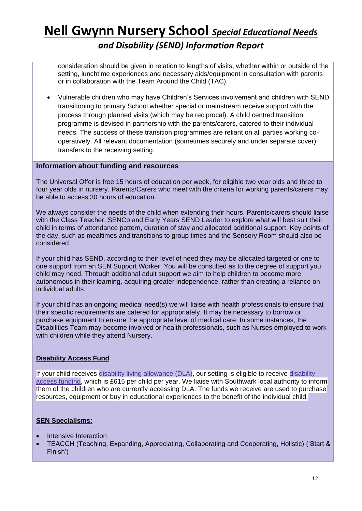consideration should be given in relation to lengths of visits, whether within or outside of the setting, lunchtime experiences and necessary aids/equipment in consultation with parents or in collaboration with the Team Around the Child (TAC).

• Vulnerable children who may have Children's Services involvement and children with SEND transitioning to primary School whether special or mainstream receive support with the process through planned visits (which may be reciprocal). A child centred transition programme is devised in partnership with the parents/carers, catered to their individual needs. The success of these transition programmes are reliant on all parties working cooperatively. All relevant documentation (sometimes securely and under separate cover) transfers to the receiving setting.

#### **Information about funding and resources**

The Universal Offer is free 15 hours of education per week, for eligible two year olds and three to four year olds in nursery. Parents/Carers who meet with the criteria for working parents/carers may be able to access 30 hours of education.

We always consider the needs of the child when extending their hours. Parents/carers should liaise with the Class Teacher, SENCo and Early Years SEND Leader to explore what will best suit their child in terms of attendance pattern, duration of stay and allocated additional support. Key points of the day, such as mealtimes and transitions to group times and the Sensory Room should also be considered.

If your child has SEND, according to their level of need they may be allocated targeted or one to one support from an SEN Support Worker. You will be consulted as to the degree of support you child may need. Through additional adult support we aim to help children to become more autonomous in their learning, acquiring greater independence, rather than creating a reliance on individual adults.

If your child has an ongoing medical need(s) we will liaise with health professionals to ensure that their specific requirements are catered for appropriately. It may be necessary to borrow or purchase equipment to ensure the appropriate level of medical care. In some instances, the Disabilities Team may become involved or health professionals, such as Nurses employed to work with children while they attend Nursery.

#### **Disability Access Fund**

If your child receives disability living [allowance](https://www.gov.uk/disability-living-allowance-children) (DLA), our setting is eligible to receive [disability](https://www.gov.uk/government/consultations/early-years-funding-changes-to-funding-for-3-and-4-year-olds) access [funding,](https://www.gov.uk/government/consultations/early-years-funding-changes-to-funding-for-3-and-4-year-olds) which is £615 per child per year. We liaise with Southwark local authority to inform them of the children who are currently accessing DLA. The funds we receive are used to purchase resources, equipment or buy in educational experiences to the benefit of the individual child.

#### **SEN Specialisms:**

- Intensive Interaction
- TEACCH (Teaching, Expanding, Appreciating, Collaborating and Cooperating, Holistic) ('Start & Finish')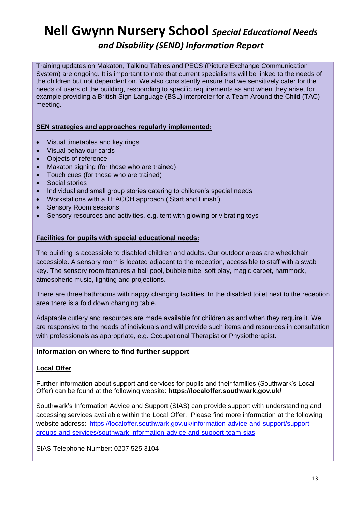#### *and Disability (SEND) Information Report*

Training updates on Makaton, Talking Tables and PECS (Picture Exchange Communication System) are ongoing. It is important to note that current specialisms will be linked to the needs of the children but not dependent on. We also consistently ensure that we sensitively cater for the needs of users of the building, responding to specific requirements as and when they arise, for example providing a British Sign Language (BSL) interpreter for a Team Around the Child (TAC) meeting.

#### **SEN strategies and approaches regularly implemented:**

- Visual timetables and key rings
- Visual behaviour cards
- Objects of reference
- Makaton signing (for those who are trained)
- Touch cues (for those who are trained)
- Social stories
- Individual and small group stories catering to children's special needs
- Workstations with a TEACCH approach ('Start and Finish')
- Sensory Room sessions
- Sensory resources and activities, e.g. tent with glowing or vibrating toys

#### **Facilities for pupils with special educational needs:**

The building is accessible to disabled children and adults. Our outdoor areas are wheelchair accessible. A sensory room is located adjacent to the reception, accessible to staff with a swab key. The sensory room features a ball pool, bubble tube, soft play, magic carpet, hammock, atmospheric music, lighting and projections.

There are three bathrooms with nappy changing facilities. In the disabled toilet next to the reception area there is a fold down changing table.

Adaptable cutlery and resources are made available for children as and when they require it. We are responsive to the needs of individuals and will provide such items and resources in consultation with professionals as appropriate, e.g. Occupational Therapist or Physiotherapist.

#### **Information on where to find further support**

#### **Local Offer**

Further information about support and services for pupils and their families (Southwark's Local Offer) can be found at the following website: **https://localoffer.southwark.gov.uk/**

Southwark's Information Advice and Support (SIAS) can provide support with understanding and accessing services available within the Local Offer. Please find more information at the following website address: [https://localoffer.southwark.gov.uk/information-advice-and-support/support](https://localoffer.southwark.gov.uk/information-advice-and-support/support-groups-and-services/southwark-information-advice-and-support-team-sias)[groups-and-services/southwark-information-advice-and-support-team-sias](https://localoffer.southwark.gov.uk/information-advice-and-support/support-groups-and-services/southwark-information-advice-and-support-team-sias)

SIAS Telephone Number: 0207 525 3104